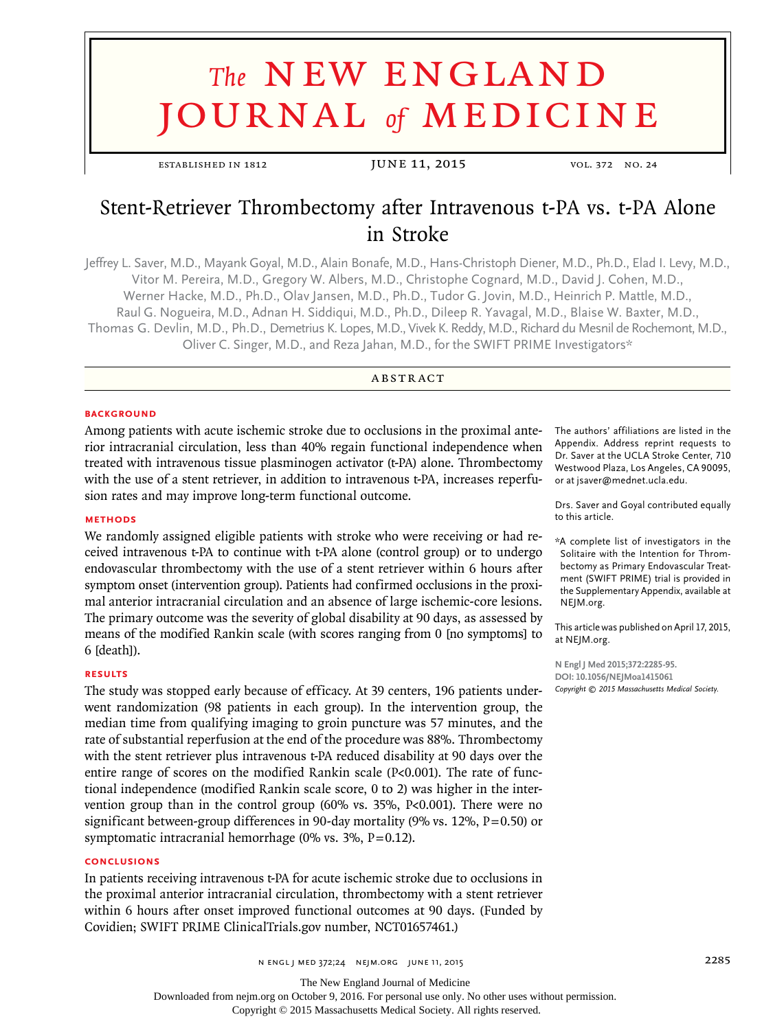# **The NEW ENGLAND** journal *of* medicine

established in 1812 june 11, 2015 vol. 372 no. 24

# Stent-Retriever Thrombectomy after Intravenous t-PA vs. t-PA Alone in Stroke

Jeffrey L. Saver, M.D., Mayank Goyal, M.D., Alain Bonafe, M.D., Hans-Christoph Diener, M.D., Ph.D., Elad I. Levy, M.D., Vitor M. Pereira, M.D., Gregory W. Albers, M.D., Christophe Cognard, M.D., David J. Cohen, M.D., Werner Hacke, M.D., Ph.D., Olav Jansen, M.D., Ph.D., Tudor G. Jovin, M.D., Heinrich P. Mattle, M.D., Raul G. Nogueira, M.D., Adnan H. Siddiqui, M.D., Ph.D., Dileep R. Yavagal, M.D., Blaise W. Baxter, M.D., Thomas G. Devlin, M.D., Ph.D., Demetrius K. Lopes, M.D., Vivek K. Reddy, M.D., Richard du Mesnil de Rochemont, M.D., Oliver C. Singer, M.D., and Reza Jahan, M.D., for the SWIFT PRIME Investigators\*

# ABSTRACT

# **BACKGROUND**

Among patients with acute ischemic stroke due to occlusions in the proximal anterior intracranial circulation, less than 40% regain functional independence when treated with intravenous tissue plasminogen activator (t-PA) alone. Thrombectomy with the use of a stent retriever, in addition to intravenous t-PA, increases reperfusion rates and may improve long-term functional outcome.

#### **METHODS**

We randomly assigned eligible patients with stroke who were receiving or had received intravenous t-PA to continue with t-PA alone (control group) or to undergo endovascular thrombectomy with the use of a stent retriever within 6 hours after symptom onset (intervention group). Patients had confirmed occlusions in the proximal anterior intracranial circulation and an absence of large ischemic-core lesions. The primary outcome was the severity of global disability at 90 days, as assessed by means of the modified Rankin scale (with scores ranging from 0 [no symptoms] to 6 [death]).

# **RESULTS**

The study was stopped early because of efficacy. At 39 centers, 196 patients underwent randomization (98 patients in each group). In the intervention group, the median time from qualifying imaging to groin puncture was 57 minutes, and the rate of substantial reperfusion at the end of the procedure was 88%. Thrombectomy with the stent retriever plus intravenous t-PA reduced disability at 90 days over the entire range of scores on the modified Rankin scale ( $P<0.001$ ). The rate of functional independence (modified Rankin scale score, 0 to 2) was higher in the intervention group than in the control group (60% vs. 35%, P<0.001). There were no significant between-group differences in 90-day mortality (9% vs.  $12\%$ , P=0.50) or symptomatic intracranial hemorrhage (0% vs.  $3\%$ , P=0.12).

#### **CONCLUSIONS**

In patients receiving intravenous t-PA for acute ischemic stroke due to occlusions in the proximal anterior intracranial circulation, thrombectomy with a stent retriever within 6 hours after onset improved functional outcomes at 90 days. (Funded by Covidien; SWIFT PRIME ClinicalTrials.gov number, NCT01657461.)

The authors' affiliations are listed in the Appendix. Address reprint requests to Dr. Saver at the UCLA Stroke Center, 710 Westwood Plaza, Los Angeles, CA 90095, or at jsaver@mednet.ucla.edu.

Drs. Saver and Goyal contributed equally to this article.

\*A complete list of investigators in the Solitaire with the Intention for Thrombectomy as Primary Endovascular Treatment (SWIFT PRIME) trial is provided in the Supplementary Appendix, available at NEJM.org.

This article was published on April 17, 2015, at NEJM.org.

**N Engl J Med 2015;372:2285-95. DOI: 10.1056/NEJMoa1415061** *Copyright © 2015 Massachusetts Medical Society.*

The New England Journal of Medicine

Downloaded from nejm.org on October 9, 2016. For personal use only. No other uses without permission.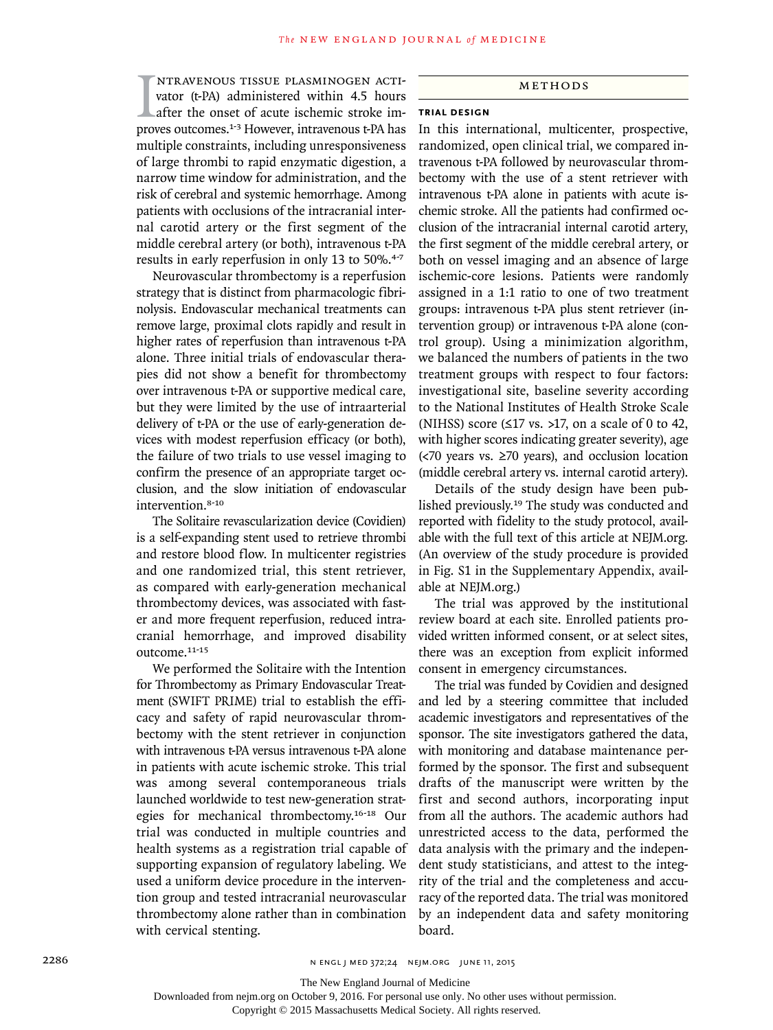**INTRAVENOUS TISSUE PLASMINOGEN ACTIvator (t-PA) administered within 4.5 hours** after the onset of acute ischemic stroke improves outcomes.<sup>1-3</sup> However, intravenous t-PA has ntravenous tissue plasminogen activator (t-PA) administered within 4.5 hours after the onset of acute ischemic stroke immultiple constraints, including unresponsiveness of large thrombi to rapid enzymatic digestion, a narrow time window for administration, and the risk of cerebral and systemic hemorrhage. Among patients with occlusions of the intracranial internal carotid artery or the first segment of the middle cerebral artery (or both), intravenous t-PA results in early reperfusion in only 13 to 50%.4-7

Neurovascular thrombectomy is a reperfusion strategy that is distinct from pharmacologic fibrinolysis. Endovascular mechanical treatments can remove large, proximal clots rapidly and result in higher rates of reperfusion than intravenous t-PA alone. Three initial trials of endovascular therapies did not show a benefit for thrombectomy over intravenous t-PA or supportive medical care, but they were limited by the use of intraarterial delivery of t-PA or the use of early-generation devices with modest reperfusion efficacy (or both), the failure of two trials to use vessel imaging to confirm the presence of an appropriate target occlusion, and the slow initiation of endovascular intervention.8-10

The Solitaire revascularization device (Covidien) is a self-expanding stent used to retrieve thrombi and restore blood flow. In multicenter registries and one randomized trial, this stent retriever, as compared with early-generation mechanical thrombectomy devices, was associated with faster and more frequent reperfusion, reduced intracranial hemorrhage, and improved disability outcome.11-15

We performed the Solitaire with the Intention for Thrombectomy as Primary Endovascular Treatment (SWIFT PRIME) trial to establish the efficacy and safety of rapid neurovascular thrombectomy with the stent retriever in conjunction with intravenous t-PA versus intravenous t-PA alone in patients with acute ischemic stroke. This trial was among several contemporaneous trials launched worldwide to test new-generation strategies for mechanical thrombectomy.16-18 Our trial was conducted in multiple countries and health systems as a registration trial capable of supporting expansion of regulatory labeling. We used a uniform device procedure in the intervention group and tested intracranial neurovascular thrombectomy alone rather than in combination with cervical stenting.

# METHODS

#### **TRIAL DESIGN**

In this international, multicenter, prospective, randomized, open clinical trial, we compared intravenous t-PA followed by neurovascular thrombectomy with the use of a stent retriever with intravenous t-PA alone in patients with acute ischemic stroke. All the patients had confirmed occlusion of the intracranial internal carotid artery, the first segment of the middle cerebral artery, or both on vessel imaging and an absence of large ischemic-core lesions. Patients were randomly assigned in a 1:1 ratio to one of two treatment groups: intravenous t-PA plus stent retriever (intervention group) or intravenous t-PA alone (control group). Using a minimization algorithm, we balanced the numbers of patients in the two treatment groups with respect to four factors: investigational site, baseline severity according to the National Institutes of Health Stroke Scale (NIHSS) score  $(≤17$  vs. >17, on a scale of 0 to 42, with higher scores indicating greater severity), age (<70 years vs. ≥70 years), and occlusion location (middle cerebral artery vs. internal carotid artery).

Details of the study design have been published previously.19 The study was conducted and reported with fidelity to the study protocol, available with the full text of this article at NEJM.org. (An overview of the study procedure is provided in Fig. S1 in the Supplementary Appendix, available at NEJM.org.)

The trial was approved by the institutional review board at each site. Enrolled patients provided written informed consent, or at select sites, there was an exception from explicit informed consent in emergency circumstances.

The trial was funded by Covidien and designed and led by a steering committee that included academic investigators and representatives of the sponsor. The site investigators gathered the data, with monitoring and database maintenance performed by the sponsor. The first and subsequent drafts of the manuscript were written by the first and second authors, incorporating input from all the authors. The academic authors had unrestricted access to the data, performed the data analysis with the primary and the independent study statisticians, and attest to the integrity of the trial and the completeness and accuracy of the reported data. The trial was monitored by an independent data and safety monitoring board.

The New England Journal of Medicine

Downloaded from nejm.org on October 9, 2016. For personal use only. No other uses without permission.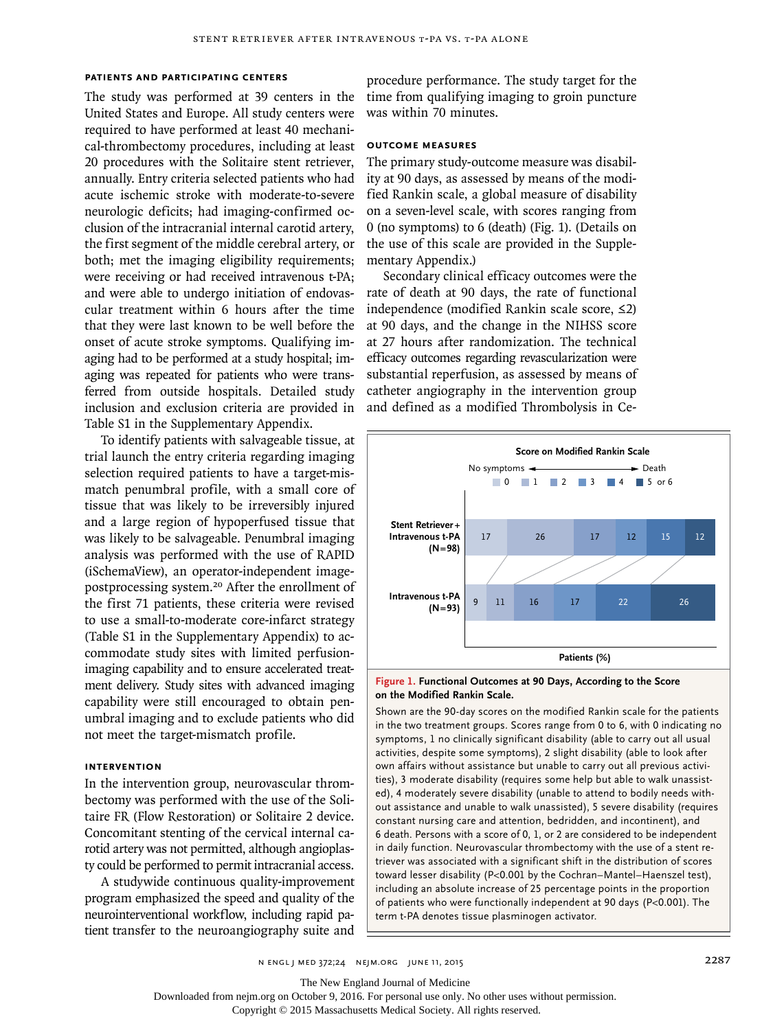# **PATIENTS AND PARTICIPATING CENTERS**

The study was performed at 39 centers in the United States and Europe. All study centers were required to have performed at least 40 mechanical-thrombectomy procedures, including at least 20 procedures with the Solitaire stent retriever, annually. Entry criteria selected patients who had acute ischemic stroke with moderate-to-severe neurologic deficits; had imaging-confirmed occlusion of the intracranial internal carotid artery, the first segment of the middle cerebral artery, or both; met the imaging eligibility requirements; were receiving or had received intravenous t-PA; and were able to undergo initiation of endovascular treatment within 6 hours after the time that they were last known to be well before the onset of acute stroke symptoms. Qualifying imaging had to be performed at a study hospital; imaging was repeated for patients who were transferred from outside hospitals. Detailed study inclusion and exclusion criteria are provided in Table S1 in the Supplementary Appendix.

To identify patients with salvageable tissue, at trial launch the entry criteria regarding imaging selection required patients to have a target-mismatch penumbral profile, with a small core of tissue that was likely to be irreversibly injured and a large region of hypoperfused tissue that was likely to be salvageable. Penumbral imaging analysis was performed with the use of RAPID (iSchemaView), an operator-independent imagepostprocessing system.20 After the enrollment of the first 71 patients, these criteria were revised to use a small-to-moderate core-infarct strategy (Table S1 in the Supplementary Appendix) to accommodate study sites with limited perfusionimaging capability and to ensure accelerated treatment delivery. Study sites with advanced imaging capability were still encouraged to obtain penumbral imaging and to exclude patients who did not meet the target-mismatch profile.

## **INTERVENTION**

In the intervention group, neurovascular thrombectomy was performed with the use of the Solitaire FR (Flow Restoration) or Solitaire 2 device. Concomitant stenting of the cervical internal carotid artery was not permitted, although angioplasty could be performed to permit intracranial access.

A studywide continuous quality-improvement program emphasized the speed and quality of the neurointerventional workflow, including rapid patient transfer to the neuroangiography suite and

procedure performance. The study target for the time from qualifying imaging to groin puncture was within 70 minutes.

# **OUTCOME MEASURES**

The primary study-outcome measure was disability at 90 days, as assessed by means of the modified Rankin scale, a global measure of disability on a seven-level scale, with scores ranging from 0 (no symptoms) to 6 (death) (Fig. 1). (Details on the use of this scale are provided in the Supplementary Appendix.)

Secondary clinical efficacy outcomes were the rate of death at 90 days, the rate of functional independence (modified Rankin scale score, ≤2) at 90 days, and the change in the NIHSS score at 27 hours after randomization. The technical efficacy outcomes regarding revascularization were substantial reperfusion, as assessed by means of catheter angiography in the intervention group and defined as a modified Thrombolysis in Ce-



#### **Figure 1. Functional Outcomes at 90 Days, According to the Score on the Modified Rankin Scale.**

Shown are the 90-day scores on the modified Rankin scale for the patients in the two treatment groups. Scores range from 0 to 6, with 0 indicating no symptoms, 1 no clinically significant disability (able to carry out all usual activities, despite some symptoms), 2 slight disability (able to look after own affairs without assistance but unable to carry out all previous activities), 3 moderate disability (requires some help but able to walk unassisted), 4 moderately severe disability (unable to attend to bodily needs without assistance and unable to walk unassisted), 5 severe disability (requires constant nursing care and attention, bedridden, and incontinent), and 6 death. Persons with a score of 0, 1, or 2 are considered to be independent in daily function. Neurovascular thrombectomy with the use of a stent retriever was associated with a significant shift in the distribution of scores toward lesser disability (P<0.001 by the Cochran–Mantel–Haenszel test), including an absolute increase of 25 percentage points in the proportion of patients who were functionally independent at 90 days (P<0.001). The term t-PA denotes tissue plasminogen activator.

n engl j med 372;24 nejm.org june 11, 2015 2287

The New England Journal of Medicine

Downloaded from nejm.org on October 9, 2016. For personal use only. No other uses without permission.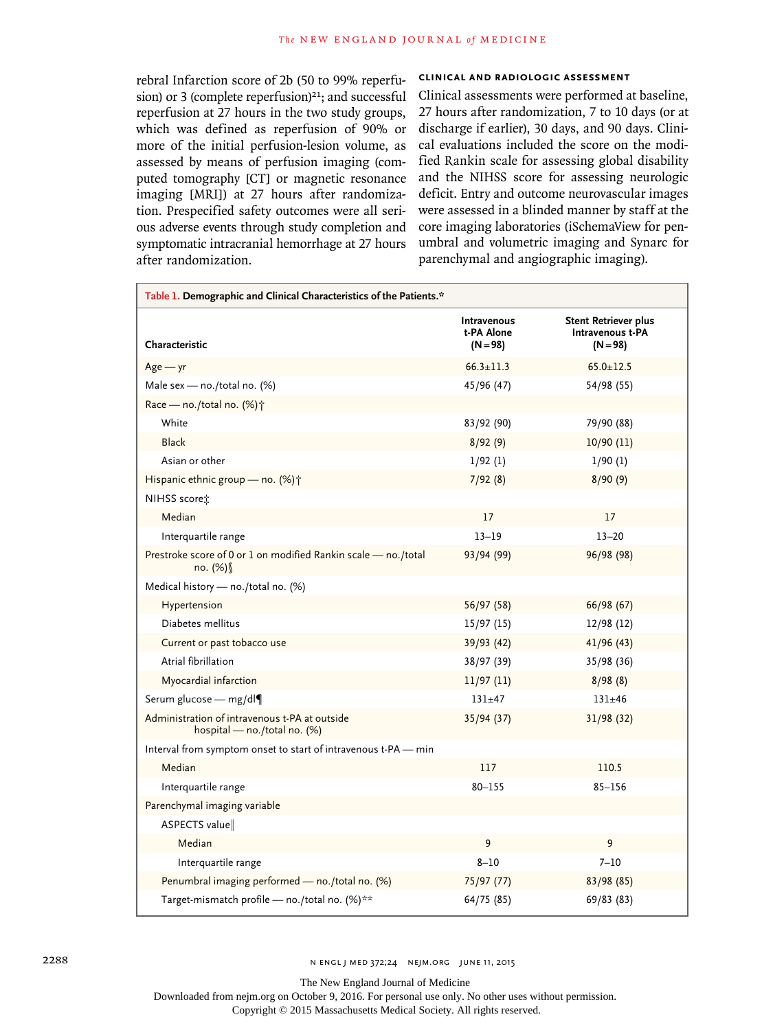rebral Infarction score of 2b (50 to 99% reperfusion) or 3 (complete reperfusion)<sup>21</sup>; and successful reperfusion at 27 hours in the two study groups, which was defined as reperfusion of 90% or more of the initial perfusion-lesion volume, as assessed by means of perfusion imaging (computed tomography [CT] or magnetic resonance imaging [MRI]) at 27 hours after randomization. Prespecified safety outcomes were all serious adverse events through study completion and symptomatic intracranial hemorrhage at 27 hours after randomization.

# **CLINICAL AND RADIOLOGIC ASSESSMENT**

Clinical assessments were performed at baseline, 27 hours after randomization, 7 to 10 days (or at discharge if earlier), 30 days, and 90 days. Clinical evaluations included the score on the modified Rankin scale for assessing global disability and the NIHSS score for assessing neurologic deficit. Entry and outcome neurovascular images were assessed in a blinded manner by staff at the core imaging laboratories (iSchemaView for penumbral and volumetric imaging and Synarc for parenchymal and angiographic imaging).

| Table 1. Demographic and Clinical Characteristics of the Patients.*              |                                         |                                                        |  |
|----------------------------------------------------------------------------------|-----------------------------------------|--------------------------------------------------------|--|
| Characteristic                                                                   | Intravenous<br>t-PA Alone<br>$(N = 98)$ | Stent Retriever plus<br>Intravenous t-PA<br>$(N = 98)$ |  |
| $Age - yr$                                                                       | $66.3 \pm 11.3$                         | $65.0 \pm 12.5$                                        |  |
| Male sex - no./total no. (%)                                                     | 45/96 (47)                              | 54/98 (55)                                             |  |
| Race - no./total no. (%) <sup>+</sup>                                            |                                         |                                                        |  |
| White                                                                            | 83/92 (90)                              | 79/90 (88)                                             |  |
| <b>Black</b>                                                                     | 8/92(9)                                 | 10/90(11)                                              |  |
| Asian or other                                                                   | 1/92(1)                                 | 1/90(1)                                                |  |
| Hispanic ethnic group - no. (%) $\dagger$                                        | 7/92(8)                                 | 8/90(9)                                                |  |
| NIHSS score $\dot{\chi}$                                                         |                                         |                                                        |  |
| Median                                                                           | 17                                      | 17                                                     |  |
| Interquartile range                                                              | $13 - 19$                               | $13 - 20$                                              |  |
| Prestroke score of 0 or 1 on modified Rankin scale - no./total<br>no. $(\%)$     | 93/94 (99)                              | 96/98 (98)                                             |  |
| Medical history - no./total no. (%)                                              |                                         |                                                        |  |
| Hypertension                                                                     | 56/97 (58)                              | 66/98 (67)                                             |  |
| Diabetes mellitus                                                                | 15/97(15)                               | 12/98 (12)                                             |  |
| Current or past tobacco use                                                      | 39/93 (42)                              | 41/96(43)                                              |  |
| Atrial fibrillation                                                              | 38/97 (39)                              | 35/98 (36)                                             |  |
| Myocardial infarction                                                            | 11/97(11)                               | 8/98(8)                                                |  |
| Serum glucose - mg/dl¶                                                           | $131 \pm 47$                            | $131 \pm 46$                                           |  |
| Administration of intravenous t-PA at outside<br>hospital — no./total no. $(\%)$ | 35/94 (37)                              | 31/98 (32)                                             |  |
| Interval from symptom onset to start of intravenous t-PA - min                   |                                         |                                                        |  |
| Median                                                                           | 117                                     | 110.5                                                  |  |
| Interquartile range                                                              | $80 - 155$                              | $85 - 156$                                             |  |
| Parenchymal imaging variable                                                     |                                         |                                                        |  |
| ASPECTS value                                                                    |                                         |                                                        |  |
| Median                                                                           | 9                                       | 9                                                      |  |
| Interquartile range                                                              | $8 - 10$                                | $7 - 10$                                               |  |
| Penumbral imaging performed - no./total no. (%)                                  | 75/97 (77)                              | 83/98 (85)                                             |  |
| Target-mismatch profile - no./total no. (%)**                                    | 64/75 (85)                              | 69/83 (83)                                             |  |

The New England Journal of Medicine

Downloaded from nejm.org on October 9, 2016. For personal use only. No other uses without permission.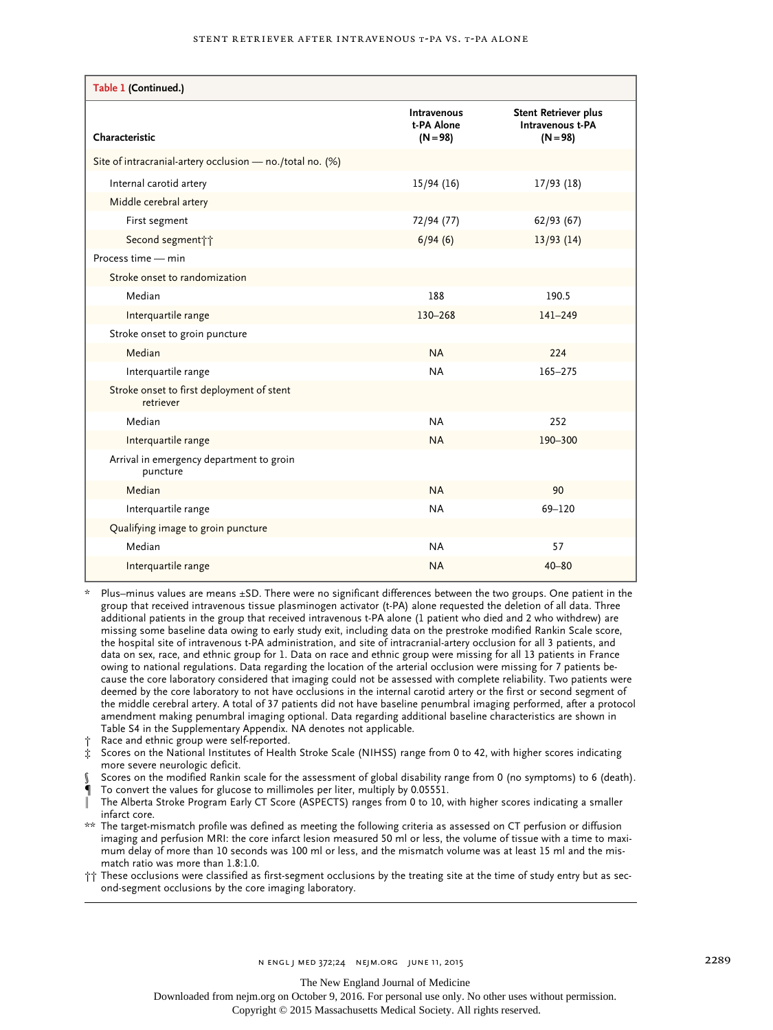| Table 1 (Continued.)                                      |                                         |                                                               |  |  |
|-----------------------------------------------------------|-----------------------------------------|---------------------------------------------------------------|--|--|
| Characteristic                                            | Intravenous<br>t-PA Alone<br>$(N = 98)$ | <b>Stent Retriever plus</b><br>Intravenous t-PA<br>$(N = 98)$ |  |  |
| Site of intracranial-artery occlusion - no./total no. (%) |                                         |                                                               |  |  |
| Internal carotid artery                                   | 15/94(16)                               | 17/93 (18)                                                    |  |  |
| Middle cerebral artery                                    |                                         |                                                               |  |  |
| First segment                                             | 72/94 (77)                              | 62/93 (67)                                                    |  |  |
| Second segment <sup>++</sup>                              | 6/94(6)                                 | 13/93(14)                                                     |  |  |
| Process time - min                                        |                                         |                                                               |  |  |
| Stroke onset to randomization                             |                                         |                                                               |  |  |
| Median                                                    | 188                                     | 190.5                                                         |  |  |
| Interquartile range                                       | 130-268                                 | $141 - 249$                                                   |  |  |
| Stroke onset to groin puncture                            |                                         |                                                               |  |  |
| Median                                                    | <b>NA</b>                               | 224                                                           |  |  |
| Interquartile range                                       | <b>NA</b>                               | 165-275                                                       |  |  |
| Stroke onset to first deployment of stent<br>retriever    |                                         |                                                               |  |  |
| Median                                                    | <b>NA</b>                               | 252                                                           |  |  |
| Interquartile range                                       | <b>NA</b>                               | 190-300                                                       |  |  |
| Arrival in emergency department to groin<br>puncture      |                                         |                                                               |  |  |
| Median                                                    | <b>NA</b>                               | 90                                                            |  |  |
| Interquartile range                                       | <b>NA</b>                               | 69-120                                                        |  |  |
| Qualifying image to groin puncture                        |                                         |                                                               |  |  |
| Median                                                    | <b>NA</b>                               | 57                                                            |  |  |
| Interquartile range                                       | <b>NA</b>                               | $40 - 80$                                                     |  |  |

\* Plus–minus values are means ±SD. There were no significant differences between the two groups. One patient in the group that received intravenous tissue plasminogen activator (t-PA) alone requested the deletion of all data. Three additional patients in the group that received intravenous t-PA alone (1 patient who died and 2 who withdrew) are missing some baseline data owing to early study exit, including data on the prestroke modified Rankin Scale score, the hospital site of intravenous t-PA administration, and site of intracranial-artery occlusion for all 3 patients, and data on sex, race, and ethnic group for 1. Data on race and ethnic group were missing for all 13 patients in France owing to national regulations. Data regarding the location of the arterial occlusion were missing for 7 patients because the core laboratory considered that imaging could not be assessed with complete reliability. Two patients were deemed by the core laboratory to not have occlusions in the internal carotid artery or the first or second segment of the middle cerebral artery. A total of 37 patients did not have baseline penumbral imaging performed, after a protocol amendment making penumbral imaging optional. Data regarding additional baseline characteristics are shown in Table S4 in the Supplementary Appendix. NA denotes not applicable.

- Race and ethnic group were self-reported.
- ‡ Scores on the National Institutes of Health Stroke Scale (NIHSS) range from 0 to 42, with higher scores indicating more severe neurologic deficit.
- Scores on the modified Rankin scale for the assessment of global disability range from 0 (no symptoms) to 6 (death). To convert the values for glucose to millimoles per liter, multiply by 0.05551.
- The Alberta Stroke Program Early CT Score (ASPECTS) ranges from 0 to 10, with higher scores indicating a smaller infarct core.
- \*\* The target-mismatch profile was defined as meeting the following criteria as assessed on CT perfusion or diffusion imaging and perfusion MRI: the core infarct lesion measured 50 ml or less, the volume of tissue with a time to maximum delay of more than 10 seconds was 100 ml or less, and the mismatch volume was at least 15 ml and the mismatch ratio was more than 1.8:1.0.
- †† These occlusions were classified as first-segment occlusions by the treating site at the time of study entry but as second-segment occlusions by the core imaging laboratory.

The New England Journal of Medicine

Downloaded from nejm.org on October 9, 2016. For personal use only. No other uses without permission.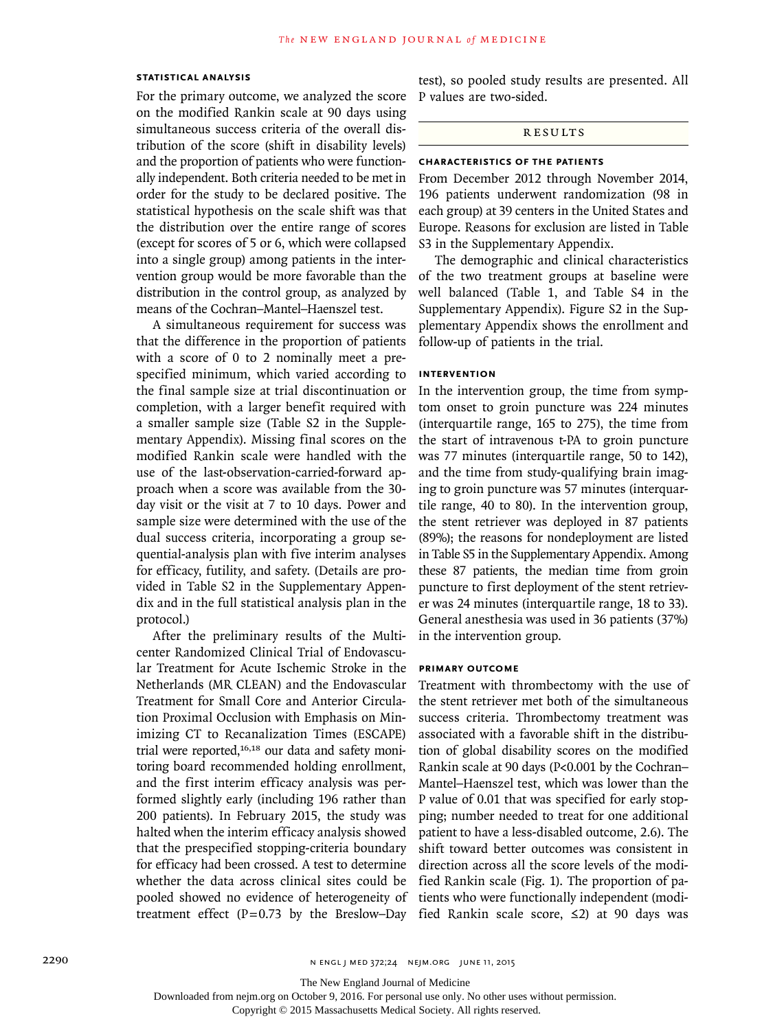#### **STATISTICAL ANALYSIS**

For the primary outcome, we analyzed the score on the modified Rankin scale at 90 days using simultaneous success criteria of the overall distribution of the score (shift in disability levels) and the proportion of patients who were functionally independent. Both criteria needed to be met in order for the study to be declared positive. The statistical hypothesis on the scale shift was that the distribution over the entire range of scores (except for scores of 5 or 6, which were collapsed into a single group) among patients in the intervention group would be more favorable than the distribution in the control group, as analyzed by means of the Cochran–Mantel–Haenszel test.

A simultaneous requirement for success was that the difference in the proportion of patients with a score of 0 to 2 nominally meet a prespecified minimum, which varied according to the final sample size at trial discontinuation or completion, with a larger benefit required with a smaller sample size (Table S2 in the Supplementary Appendix). Missing final scores on the modified Rankin scale were handled with the use of the last-observation-carried-forward approach when a score was available from the 30 day visit or the visit at 7 to 10 days. Power and sample size were determined with the use of the dual success criteria, incorporating a group sequential-analysis plan with five interim analyses for efficacy, futility, and safety. (Details are provided in Table S2 in the Supplementary Appendix and in the full statistical analysis plan in the protocol.)

After the preliminary results of the Multicenter Randomized Clinical Trial of Endovascular Treatment for Acute Ischemic Stroke in the Netherlands (MR CLEAN) and the Endovascular Treatment for Small Core and Anterior Circulation Proximal Occlusion with Emphasis on Minimizing CT to Recanalization Times (ESCAPE) trial were reported, $16,18$  our data and safety monitoring board recommended holding enrollment, and the first interim efficacy analysis was performed slightly early (including 196 rather than 200 patients). In February 2015, the study was halted when the interim efficacy analysis showed that the prespecified stopping-criteria boundary for efficacy had been crossed. A test to determine whether the data across clinical sites could be pooled showed no evidence of heterogeneity of treatment effect  $(P=0.73$  by the Breslow–Day

test), so pooled study results are presented. All P values are two-sided.

# RESULTS

#### **CHARACTERISTICS OF THE PATIENTS**

From December 2012 through November 2014, 196 patients underwent randomization (98 in each group) at 39 centers in the United States and Europe. Reasons for exclusion are listed in Table S3 in the Supplementary Appendix.

The demographic and clinical characteristics of the two treatment groups at baseline were well balanced (Table 1, and Table S4 in the Supplementary Appendix). Figure S2 in the Supplementary Appendix shows the enrollment and follow-up of patients in the trial.

#### **INTERVENTION**

In the intervention group, the time from symptom onset to groin puncture was 224 minutes (interquartile range, 165 to 275), the time from the start of intravenous t-PA to groin puncture was 77 minutes (interquartile range, 50 to 142), and the time from study-qualifying brain imaging to groin puncture was 57 minutes (interquartile range, 40 to 80). In the intervention group, the stent retriever was deployed in 87 patients (89%); the reasons for nondeployment are listed in Table S5 in the Supplementary Appendix. Among these 87 patients, the median time from groin puncture to first deployment of the stent retriever was 24 minutes (interquartile range, 18 to 33). General anesthesia was used in 36 patients (37%) in the intervention group.

# **PRIMARY OUTCOME**

Treatment with thrombectomy with the use of the stent retriever met both of the simultaneous success criteria. Thrombectomy treatment was associated with a favorable shift in the distribution of global disability scores on the modified Rankin scale at 90 days (P<0.001 by the Cochran– Mantel–Haenszel test, which was lower than the P value of 0.01 that was specified for early stopping; number needed to treat for one additional patient to have a less-disabled outcome, 2.6). The shift toward better outcomes was consistent in direction across all the score levels of the modified Rankin scale (Fig. 1). The proportion of patients who were functionally independent (modified Rankin scale score, ≤2) at 90 days was

The New England Journal of Medicine

Downloaded from nejm.org on October 9, 2016. For personal use only. No other uses without permission.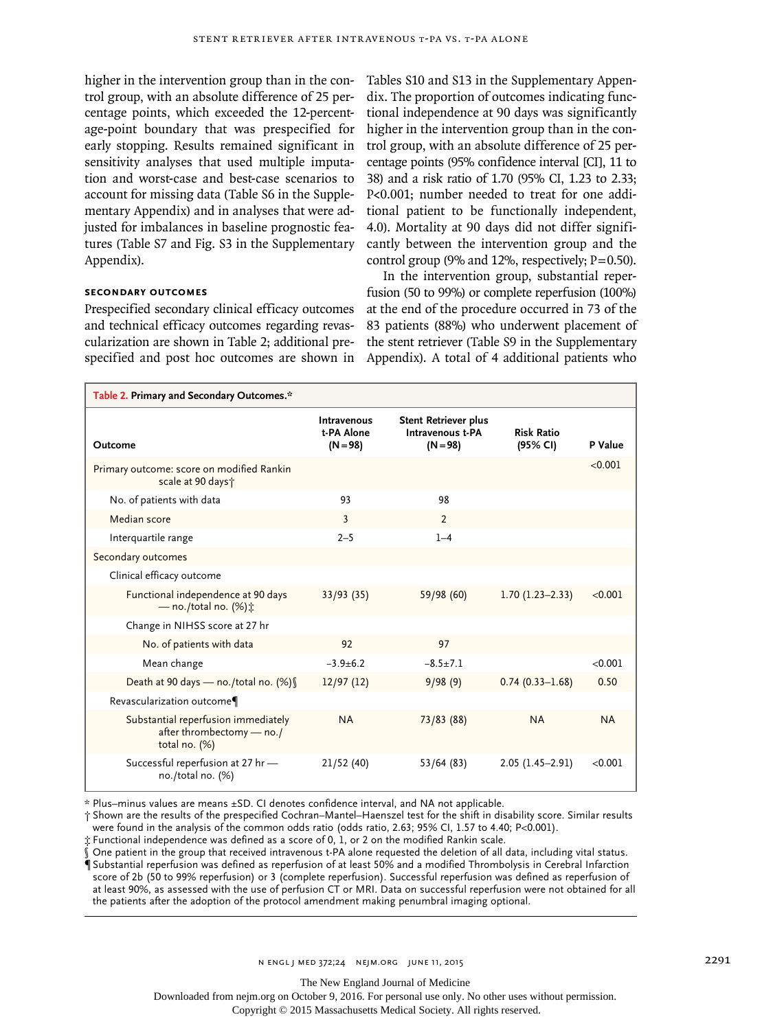higher in the intervention group than in the control group, with an absolute difference of 25 percentage points, which exceeded the 12-percentage-point boundary that was prespecified for early stopping. Results remained significant in sensitivity analyses that used multiple imputation and worst-case and best-case scenarios to account for missing data (Table S6 in the Supplementary Appendix) and in analyses that were adjusted for imbalances in baseline prognostic features (Table S7 and Fig. S3 in the Supplementary Appendix).

# **SECONDARY OUTCOMES**

Prespecified secondary clinical efficacy outcomes and technical efficacy outcomes regarding revascularization are shown in Table 2; additional prespecified and post hoc outcomes are shown in Tables S10 and S13 in the Supplementary Appendix. The proportion of outcomes indicating functional independence at 90 days was significantly higher in the intervention group than in the control group, with an absolute difference of 25 percentage points (95% confidence interval [CI], 11 to 38) and a risk ratio of 1.70 (95% CI, 1.23 to 2.33; P<0.001; number needed to treat for one additional patient to be functionally independent, 4.0). Mortality at 90 days did not differ significantly between the intervention group and the control group (9% and 12%, respectively;  $P=0.50$ ).

In the intervention group, substantial reperfusion (50 to 99%) or complete reperfusion (100%) at the end of the procedure occurred in 73 of the 83 patients (88%) who underwent placement of the stent retriever (Table S9 in the Supplementary Appendix). A total of 4 additional patients who

| Table 2. Primary and Secondary Outcomes.*                                         |                                                |                                                               |                               |           |
|-----------------------------------------------------------------------------------|------------------------------------------------|---------------------------------------------------------------|-------------------------------|-----------|
| Outcome                                                                           | <b>Intravenous</b><br>t-PA Alone<br>$(N = 98)$ | <b>Stent Retriever plus</b><br>Intravenous t-PA<br>$(N = 98)$ | <b>Risk Ratio</b><br>(95% CI) | P Value   |
| Primary outcome: score on modified Rankin<br>scale at 90 days +                   |                                                |                                                               |                               | < 0.001   |
| No. of patients with data                                                         | 93                                             | 98                                                            |                               |           |
| Median score                                                                      | 3                                              | 2                                                             |                               |           |
| Interquartile range                                                               | $2 - 5$                                        | $1 - 4$                                                       |                               |           |
| Secondary outcomes                                                                |                                                |                                                               |                               |           |
| Clinical efficacy outcome                                                         |                                                |                                                               |                               |           |
| Functional independence at 90 days<br>$-$ no./total no. (%) $\ddagger$            | 33/93(35)                                      | 59/98 (60)                                                    | $1.70(1.23 - 2.33)$           | < 0.001   |
| Change in NIHSS score at 27 hr                                                    |                                                |                                                               |                               |           |
| No. of patients with data                                                         | 92                                             | 97                                                            |                               |           |
| Mean change                                                                       | $-3.9+6.2$                                     | $-8.5+7.1$                                                    |                               | < 0.001   |
| Death at 90 days - no./total no. (%)                                              | 12/97(12)                                      | 9/98(9)                                                       | $0.74(0.33 - 1.68)$           | 0.50      |
| Revascularization outcome                                                         |                                                |                                                               |                               |           |
| Substantial reperfusion immediately<br>after thrombectomy - no./<br>total no. (%) | <b>NA</b>                                      | 73/83 (88)                                                    | <b>NA</b>                     | <b>NA</b> |
| Successful reperfusion at 27 hr -<br>no./total no. (%)                            | 21/52 (40)                                     | 53/64(83)                                                     | $2.05(1.45 - 2.91)$           | < 0.001   |

\* Plus–minus values are means ±SD. CI denotes confidence interval, and NA not applicable.

† Shown are the results of the prespecified Cochran–Mantel–Haenszel test for the shift in disability score. Similar results were found in the analysis of the common odds ratio (odds ratio, 2.63; 95% CI, 1.57 to 4.40; P<0.001).

‡ Functional independence was defined as a score of 0, 1, or 2 on the modified Rankin scale.

One patient in the group that received intravenous t-PA alone requested the deletion of all data, including vital status. ¶Substantial reperfusion was defined as reperfusion of at least 50% and a modified Thrombolysis in Cerebral Infarction

score of 2b (50 to 99% reperfusion) or 3 (complete reperfusion). Successful reperfusion was defined as reperfusion of at least 90%, as assessed with the use of perfusion CT or MRI. Data on successful reperfusion were not obtained for all the patients after the adoption of the protocol amendment making penumbral imaging optional.

The New England Journal of Medicine

Downloaded from nejm.org on October 9, 2016. For personal use only. No other uses without permission.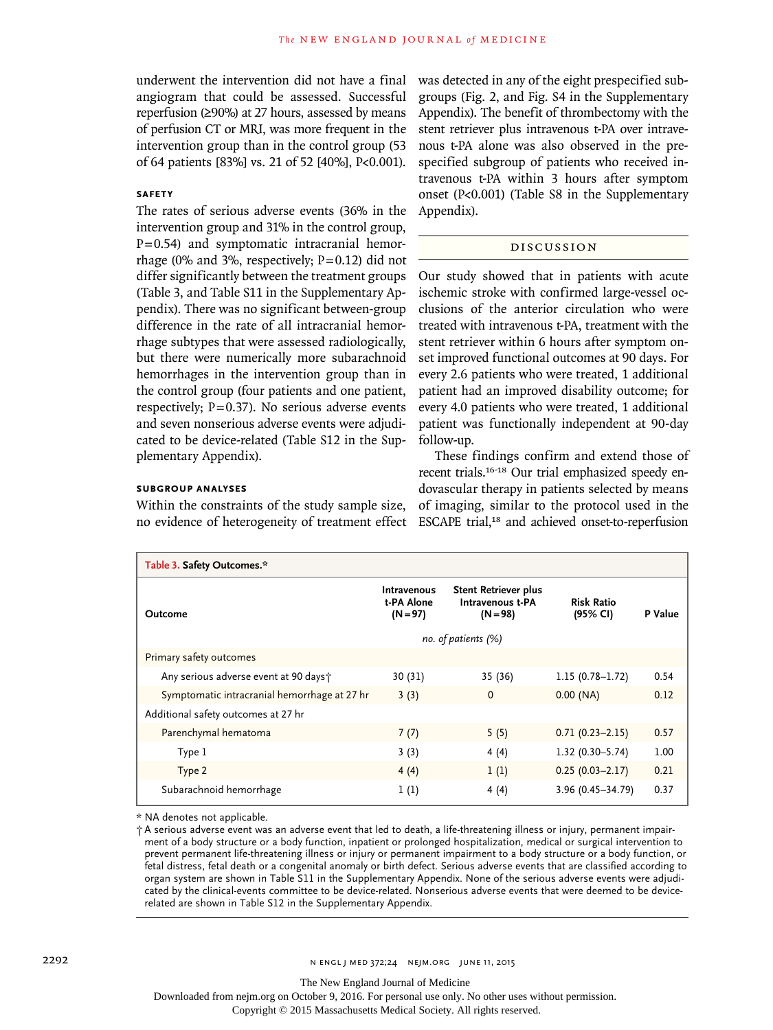underwent the intervention did not have a final angiogram that could be assessed. Successful reperfusion (≥90%) at 27 hours, assessed by means of perfusion CT or MRI, was more frequent in the intervention group than in the control group (53 of 64 patients [83%] vs. 21 of 52 [40%], P<0.001).

# **SAFETY**

The rates of serious adverse events (36% in the intervention group and 31% in the control group, P=0.54) and symptomatic intracranial hemorrhage (0% and 3%, respectively;  $P=0.12$ ) did not differ significantly between the treatment groups (Table 3, and Table S11 in the Supplementary Appendix). There was no significant between-group difference in the rate of all intracranial hemorrhage subtypes that were assessed radiologically, but there were numerically more subarachnoid hemorrhages in the intervention group than in the control group (four patients and one patient, respectively;  $P=0.37$ ). No serious adverse events and seven nonserious adverse events were adjudicated to be device-related (Table S12 in the Supplementary Appendix).

# **SUBGROUP ANALYSES**

Within the constraints of the study sample size, no evidence of heterogeneity of treatment effect

was detected in any of the eight prespecified subgroups (Fig. 2, and Fig. S4 in the Supplementary Appendix). The benefit of thrombectomy with the stent retriever plus intravenous t-PA over intravenous t-PA alone was also observed in the prespecified subgroup of patients who received intravenous t-PA within 3 hours after symptom onset (P<0.001) (Table S8 in the Supplementary Appendix).

# DISCUSSION

Our study showed that in patients with acute ischemic stroke with confirmed large-vessel occlusions of the anterior circulation who were treated with intravenous t-PA, treatment with the stent retriever within 6 hours after symptom onset improved functional outcomes at 90 days. For every 2.6 patients who were treated, 1 additional patient had an improved disability outcome; for every 4.0 patients who were treated, 1 additional patient was functionally independent at 90-day follow-up.

These findings confirm and extend those of recent trials.16-18 Our trial emphasized speedy endovascular therapy in patients selected by means of imaging, similar to the protocol used in the ESCAPE trial,<sup>18</sup> and achieved onset-to-reperfusion

| Table 3. Safety Outcomes.*                   |                                                |                                                                      |                               |         |
|----------------------------------------------|------------------------------------------------|----------------------------------------------------------------------|-------------------------------|---------|
| Outcome                                      | <b>Intravenous</b><br>t-PA Alone<br>$(N = 97)$ | <b>Stent Retriever plus</b><br><b>Intravenous t-PA</b><br>$(N = 98)$ | <b>Risk Ratio</b><br>(95% CI) | P Value |
|                                              | no. of patients $(%)$                          |                                                                      |                               |         |
| Primary safety outcomes                      |                                                |                                                                      |                               |         |
| Any serious adverse event at 90 days;        | 30(31)                                         | 35 (36)                                                              | $1.15(0.78 - 1.72)$           | 0.54    |
| Symptomatic intracranial hemorrhage at 27 hr | 3(3)                                           | $\Omega$                                                             | $0.00$ (NA)                   | 0.12    |
| Additional safety outcomes at 27 hr          |                                                |                                                                      |                               |         |
| Parenchymal hematoma                         | 7(7)                                           | 5(5)                                                                 | $0.71(0.23 - 2.15)$           | 0.57    |
| Type 1                                       | 3(3)                                           | 4(4)                                                                 | $1.32(0.30 - 5.74)$           | 1.00    |
| Type 2                                       | 4(4)                                           | 1(1)                                                                 | $0.25(0.03 - 2.17)$           | 0.21    |
| Subarachnoid hemorrhage                      | 1(1)                                           | 4(4)                                                                 | 3.96 (0.45-34.79)             | 0.37    |

\* NA denotes not applicable.

† A serious adverse event was an adverse event that led to death, a life-threatening illness or injury, permanent impairment of a body structure or a body function, inpatient or prolonged hospitalization, medical or surgical intervention to prevent permanent life-threatening illness or injury or permanent impairment to a body structure or a body function, or fetal distress, fetal death or a congenital anomaly or birth defect. Serious adverse events that are classified according to organ system are shown in Table S11 in the Supplementary Appendix. None of the serious adverse events were adjudicated by the clinical-events committee to be device-related. Nonserious adverse events that were deemed to be devicerelated are shown in Table S12 in the Supplementary Appendix.

The New England Journal of Medicine

Downloaded from nejm.org on October 9, 2016. For personal use only. No other uses without permission.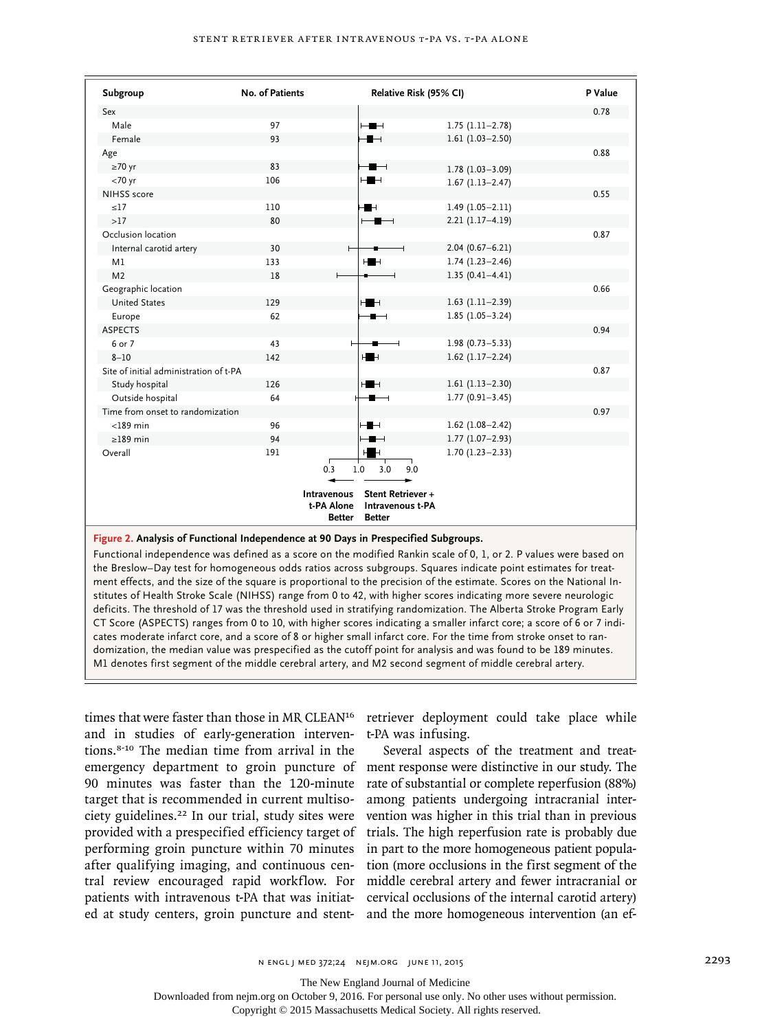| Subgroup                               | <b>No. of Patients</b> |                                            |                                                               | Relative Risk (95% CI) | P Value |
|----------------------------------------|------------------------|--------------------------------------------|---------------------------------------------------------------|------------------------|---------|
| Sex                                    |                        |                                            |                                                               |                        | 0.78    |
| Male                                   | 97                     |                                            | ⊢∎⊣                                                           | $1.75(1.11-2.78)$      |         |
| Female                                 | 93                     |                                            | ┱                                                             | $1.61(1.03 - 2.50)$    |         |
| Age                                    |                        |                                            |                                                               |                        | 0.88    |
| $\geq 70$ yr                           | 83                     |                                            | ▅⊣                                                            | $1.78(1.03 - 3.09)$    |         |
| $<$ 70 yr                              | 106                    | ⊢∎⊣                                        |                                                               | $1.67(1.13 - 2.47)$    |         |
| NIHSS score                            |                        |                                            |                                                               |                        | 0.55    |
| $\leq 17$                              | 110                    | ▜▅                                         |                                                               | $1.49(1.05-2.11)$      |         |
| >17                                    | 80                     |                                            | $\overline{\phantom{a}}$                                      | $2.21(1.17-4.19)$      |         |
| Occlusion location                     |                        |                                            |                                                               |                        | 0.87    |
| Internal carotid artery                | 30                     |                                            |                                                               | $2.04(0.67 - 6.21)$    |         |
| M <sub>1</sub>                         | 133                    | $H$ $H$                                    |                                                               | $1.74(1.23 - 2.46)$    |         |
| M <sub>2</sub>                         | 18                     |                                            |                                                               | $1.35(0.41 - 4.41)$    |         |
| Geographic location                    |                        |                                            |                                                               |                        | 0.66    |
| <b>United States</b>                   | 129                    | ⊢∎⊣                                        |                                                               | $1.63$ (1.11-2.39)     |         |
| Europe                                 | 62                     |                                            | ▬                                                             | $1.85(1.05-3.24)$      |         |
| <b>ASPECTS</b>                         |                        |                                            |                                                               |                        | 0.94    |
| 6 or 7                                 | 43                     | $\vdash$                                   | ш.                                                            | $1.98(0.73 - 5.33)$    |         |
| $8 - 10$                               | 142                    | $H \rightarrow$                            |                                                               | $1.62$ (1.17-2.24)     |         |
| Site of initial administration of t-PA |                        |                                            |                                                               |                        | 0.87    |
| Study hospital                         | 126                    | $H \rightarrow H$                          |                                                               | $1.61(1.13-2.30)$      |         |
| Outside hospital                       | 64                     |                                            | $\overline{\phantom{a}}$                                      | $1.77(0.91 - 3.45)$    |         |
| Time from onset to randomization       |                        |                                            |                                                               |                        | 0.97    |
| $<$ 189 min                            | 96                     | ⊣∎⊣                                        |                                                               | $1.62$ (1.08-2.42)     |         |
| $\geq$ 189 min                         | 94                     |                                            | ╼▆╼╕                                                          | $1.77(1.07-2.93)$      |         |
| Overall                                | 191                    | HШ<br>0.3<br>1.0                           | 3.0<br>9.0                                                    | $1.70(1.23 - 2.33)$    |         |
|                                        |                        |                                            |                                                               |                        |         |
|                                        |                        | Intravenous<br>t-PA Alone<br><b>Better</b> | <b>Stent Retriever +</b><br>Intravenous t-PA<br><b>Better</b> |                        |         |

#### **Figure 2. Analysis of Functional Independence at 90 Days in Prespecified Subgroups.**

Functional independence was defined as a score on the modified Rankin scale of 0, 1, or 2. P values were based on the Breslow–Day test for homogeneous odds ratios across subgroups. Squares indicate point estimates for treatment effects, and the size of the square is proportional to the precision of the estimate. Scores on the National Institutes of Health Stroke Scale (NIHSS) range from 0 to 42, with higher scores indicating more severe neurologic deficits. The threshold of 17 was the threshold used in stratifying randomization. The Alberta Stroke Program Early CT Score (ASPECTS) ranges from 0 to 10, with higher scores indicating a smaller infarct core; a score of 6 or 7 indicates moderate infarct core, and a score of 8 or higher small infarct core. For the time from stroke onset to randomization, the median value was prespecified as the cutoff point for analysis and was found to be 189 minutes. M1 denotes first segment of the middle cerebral artery, and M2 second segment of middle cerebral artery.

times that were faster than those in MR CLEAN<sup>16</sup> and in studies of early-generation interven-t-PA was infusing. tions.8-10 The median time from arrival in the emergency department to groin puncture of ment response were distinctive in our study. The 90 minutes was faster than the 120-minute target that is recommended in current multisociety guidelines.22 In our trial, study sites were provided with a prespecified efficiency target of performing groin puncture within 70 minutes in part to the more homogeneous patient populaafter qualifying imaging, and continuous central review encouraged rapid workflow. For middle cerebral artery and fewer intracranial or patients with intravenous t-PA that was initiated at study centers, groin puncture and stent-and the more homogeneous intervention (an ef-

retriever deployment could take place while

Several aspects of the treatment and treatrate of substantial or complete reperfusion (88%) among patients undergoing intracranial intervention was higher in this trial than in previous trials. The high reperfusion rate is probably due tion (more occlusions in the first segment of the cervical occlusions of the internal carotid artery)

The New England Journal of Medicine

Downloaded from nejm.org on October 9, 2016. For personal use only. No other uses without permission.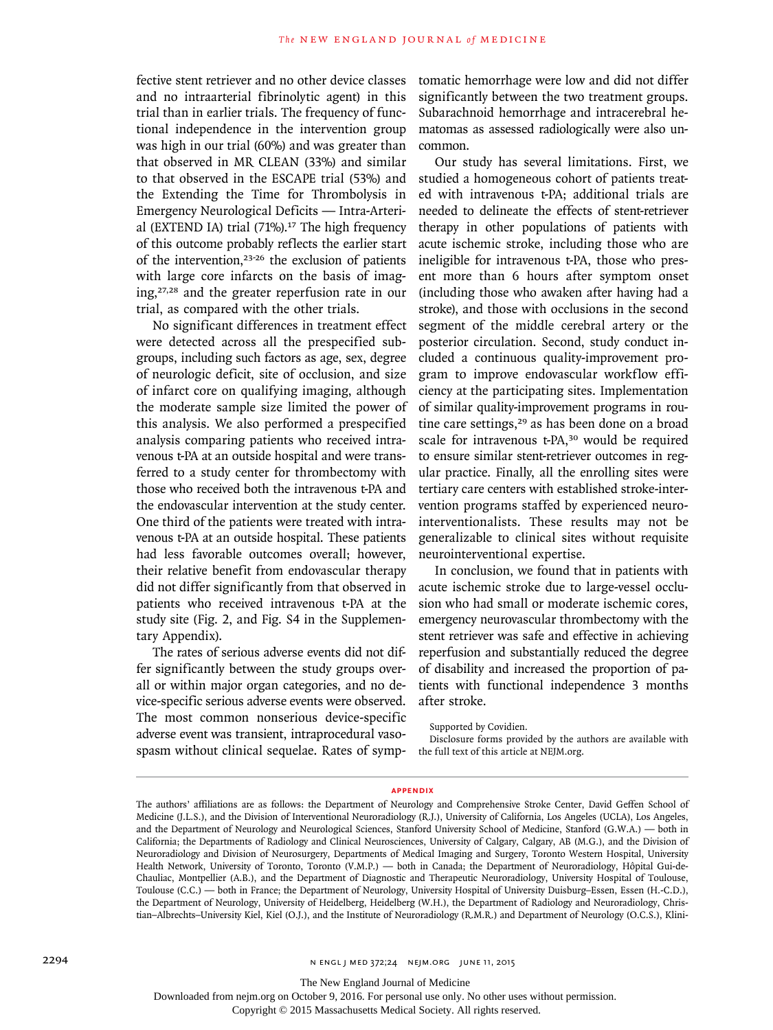fective stent retriever and no other device classes and no intraarterial fibrinolytic agent) in this trial than in earlier trials. The frequency of functional independence in the intervention group was high in our trial (60%) and was greater than that observed in MR CLEAN (33%) and similar to that observed in the ESCAPE trial (53%) and the Extending the Time for Thrombolysis in Emergency Neurological Deficits — Intra-Arterial (EXTEND IA) trial (71%).<sup>17</sup> The high frequency of this outcome probably reflects the earlier start of the intervention, $23-26$  the exclusion of patients with large core infarcts on the basis of imaging,27,28 and the greater reperfusion rate in our trial, as compared with the other trials.

No significant differences in treatment effect were detected across all the prespecified subgroups, including such factors as age, sex, degree of neurologic deficit, site of occlusion, and size of infarct core on qualifying imaging, although the moderate sample size limited the power of this analysis. We also performed a prespecified analysis comparing patients who received intravenous t-PA at an outside hospital and were transferred to a study center for thrombectomy with those who received both the intravenous t-PA and the endovascular intervention at the study center. One third of the patients were treated with intravenous t-PA at an outside hospital. These patients had less favorable outcomes overall; however, their relative benefit from endovascular therapy did not differ significantly from that observed in patients who received intravenous t-PA at the study site (Fig. 2, and Fig. S4 in the Supplementary Appendix).

The rates of serious adverse events did not differ significantly between the study groups overall or within major organ categories, and no device-specific serious adverse events were observed. The most common nonserious device-specific adverse event was transient, intraprocedural vasospasm without clinical sequelae. Rates of symptomatic hemorrhage were low and did not differ significantly between the two treatment groups. Subarachnoid hemorrhage and intracerebral hematomas as assessed radiologically were also uncommon.

Our study has several limitations. First, we studied a homogeneous cohort of patients treated with intravenous t-PA; additional trials are needed to delineate the effects of stent-retriever therapy in other populations of patients with acute ischemic stroke, including those who are ineligible for intravenous t-PA, those who present more than 6 hours after symptom onset (including those who awaken after having had a stroke), and those with occlusions in the second segment of the middle cerebral artery or the posterior circulation. Second, study conduct included a continuous quality-improvement program to improve endovascular workflow efficiency at the participating sites. Implementation of similar quality-improvement programs in routine care settings,<sup>29</sup> as has been done on a broad scale for intravenous t-PA,<sup>30</sup> would be required to ensure similar stent-retriever outcomes in regular practice. Finally, all the enrolling sites were tertiary care centers with established stroke-intervention programs staffed by experienced neurointerventionalists. These results may not be generalizable to clinical sites without requisite neurointerventional expertise.

In conclusion, we found that in patients with acute ischemic stroke due to large-vessel occlusion who had small or moderate ischemic cores, emergency neurovascular thrombectomy with the stent retriever was safe and effective in achieving reperfusion and substantially reduced the degree of disability and increased the proportion of patients with functional independence 3 months after stroke.

#### Supported by Covidien.

Disclosure forms provided by the authors are available with the full text of this article at NEJM.org.

#### **APPENDIX**

The authors' affiliations are as follows: the Department of Neurology and Comprehensive Stroke Center, David Geffen School of Medicine (J.L.S.), and the Division of Interventional Neuroradiology (R.J.), University of California, Los Angeles (UCLA), Los Angeles, and the Department of Neurology and Neurological Sciences, Stanford University School of Medicine, Stanford (G.W.A.) — both in California; the Departments of Radiology and Clinical Neurosciences, University of Calgary, Calgary, AB (M.G.), and the Division of Neuroradiology and Division of Neurosurgery, Departments of Medical Imaging and Surgery, Toronto Western Hospital, University Health Network, University of Toronto, Toronto (V.M.P.) — both in Canada; the Department of Neuroradiology, Hôpital Gui-de-Chauliac, Montpellier (A.B.), and the Department of Diagnostic and Therapeutic Neuroradiology, University Hospital of Toulouse, Toulouse (C.C.) — both in France; the Department of Neurology, University Hospital of University Duisburg–Essen, Essen (H.-C.D.), the Department of Neurology, University of Heidelberg, Heidelberg (W.H.), the Department of Radiology and Neuroradiology, Christian–Albrechts–University Kiel, Kiel (O.J.), and the Institute of Neuroradiology (R.M.R.) and Department of Neurology (O.C.S.), Klini-

The New England Journal of Medicine

Downloaded from nejm.org on October 9, 2016. For personal use only. No other uses without permission.